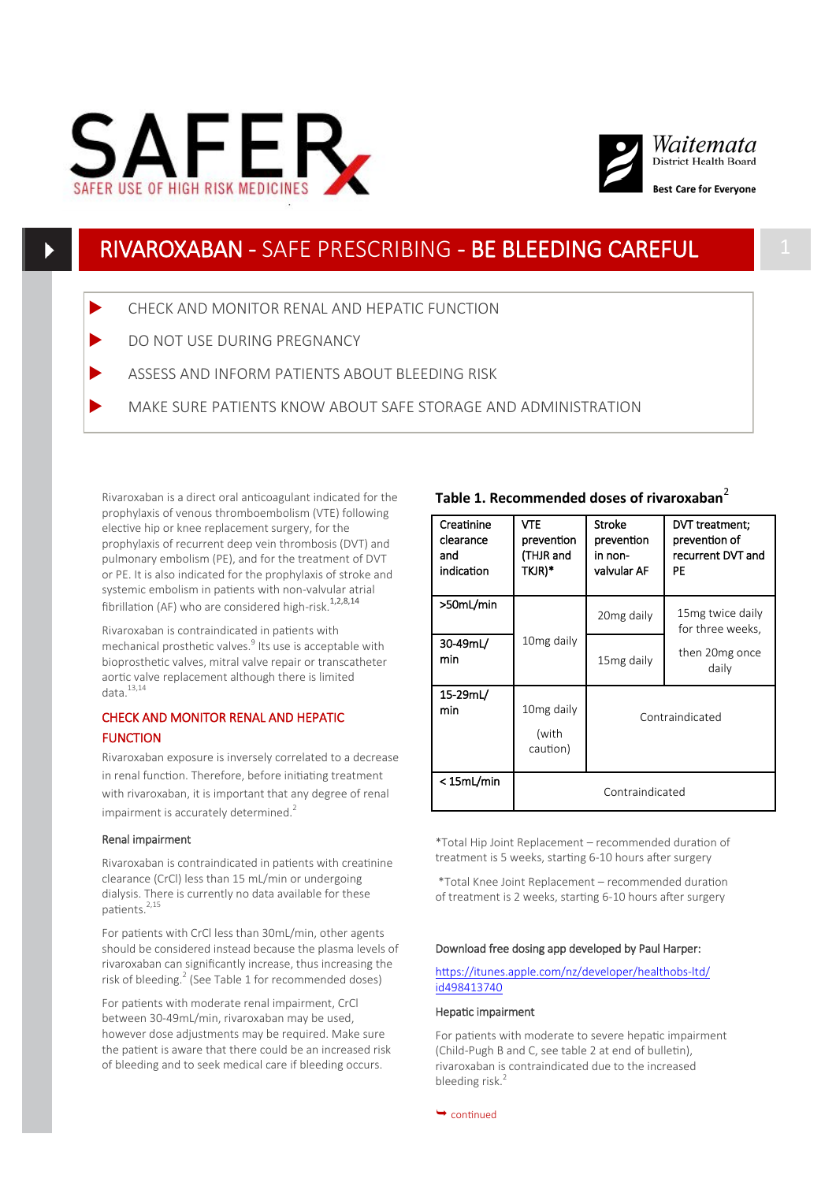



# RIVAROXABAN - SAFE PRESCRIBING - BE BLEEDING CAREFUL 1

- CHECK AND MONITOR RENAL AND HEPATIC FUNCTION
- DO NOT USE DURING PREGNANCY
- ASSESS AND INFORM PATIENTS ABOUT BLEEDING RISK
- MAKE SURE PATIENTS KNOW ABOUT SAFE STORAGE AND ADMINISTRATION

Rivaroxaban is a direct oral anticoagulant indicated for the prophylaxis of venous thromboembolism (VTE) following elective hip or knee replacement surgery, for the prophylaxis of recurrent deep vein thrombosis (DVT) and pulmonary embolism (PE), and for the treatment of DVT or PE. It is also indicated for the prophylaxis of stroke and systemic embolism in patients with non-valvular atrial fibrillation (AF) who are considered high-risk.<sup>1,2,8,14</sup>

Rivaroxaban is contraindicated in patients with mechanical prosthetic valves.<sup>9</sup> Its use is acceptable with bioprosthetic valves, mitral valve repair or transcatheter aortic valve replacement although there is limited data. $13,14$ 

## CHECK AND MONITOR RENAL AND HEPATIC FUNCTION

Rivaroxaban exposure is inversely correlated to a decrease in renal function. Therefore, before initiating treatment with rivaroxaban, it is important that any degree of renal impairment is accurately determined. $2$ 

## Renal impairment

Rivaroxaban is contraindicated in patients with creatinine clearance (CrCl) less than 15 mL/min or undergoing dialysis. There is currently no data available for these patients.<sup>2,15</sup>

For patients with CrCl less than 30mL/min, other agents should be considered instead because the plasma levels of rivaroxaban can significantly increase, thus increasing the risk of bleeding.<sup>2</sup> (See Table 1 for recommended doses)

For patients with moderate renal impairment, CrCl between 30-49mL/min, rivaroxaban may be used, however dose adjustments may be required. Make sure the patient is aware that there could be an increased risk of bleeding and to seek medical care if bleeding occurs.

## **Table 1. Recommended doses of rivaroxaban**<sup>2</sup>

| Creatinine<br>clearance<br>and<br>indication | VTE<br>prevention<br>(THJR and<br>TKJR)*    | <b>Stroke</b><br>prevention<br>in non-<br>valvular AF | DVT treatment;<br>prevention of<br>recurrent DVT and<br>PE       |
|----------------------------------------------|---------------------------------------------|-------------------------------------------------------|------------------------------------------------------------------|
| >50mL/min                                    | 10 <sub>mg</sub> daily                      | 20 <sub>mg</sub> daily                                | 15 mg twice daily<br>for three weeks,<br>then 20mg once<br>daily |
| 30-49mL/<br>min                              |                                             | 15 <sub>mg</sub> daily                                |                                                                  |
| 15-29mL/<br>min                              | 10 <sub>mg</sub> daily<br>(with<br>caution) | Contraindicated                                       |                                                                  |
| < 15mL/min                                   | Contraindicated                             |                                                       |                                                                  |

\*Total Hip Joint Replacement – recommended duration of treatment is 5 weeks, starting 6-10 hours after surgery

\*Total Knee Joint Replacement – recommended duration of treatment is 2 weeks, starting 6-10 hours after surgery

#### Download free dosing app developed by Paul Harper:

### [https://itunes.apple.com/nz/developer/healthobs](https://itunes.apple.com/nz/developer/healthobs-ltd/id498413740)-ltd/ [id498413740](https://itunes.apple.com/nz/developer/healthobs-ltd/id498413740)

#### Hepatic impairment

For patients with moderate to severe hepatic impairment (Child-Pugh B and C, see table 2 at end of bulletin), rivaroxaban is contraindicated due to the increased bleeding risk.<sup>2</sup>

 $\rightarrow$  continued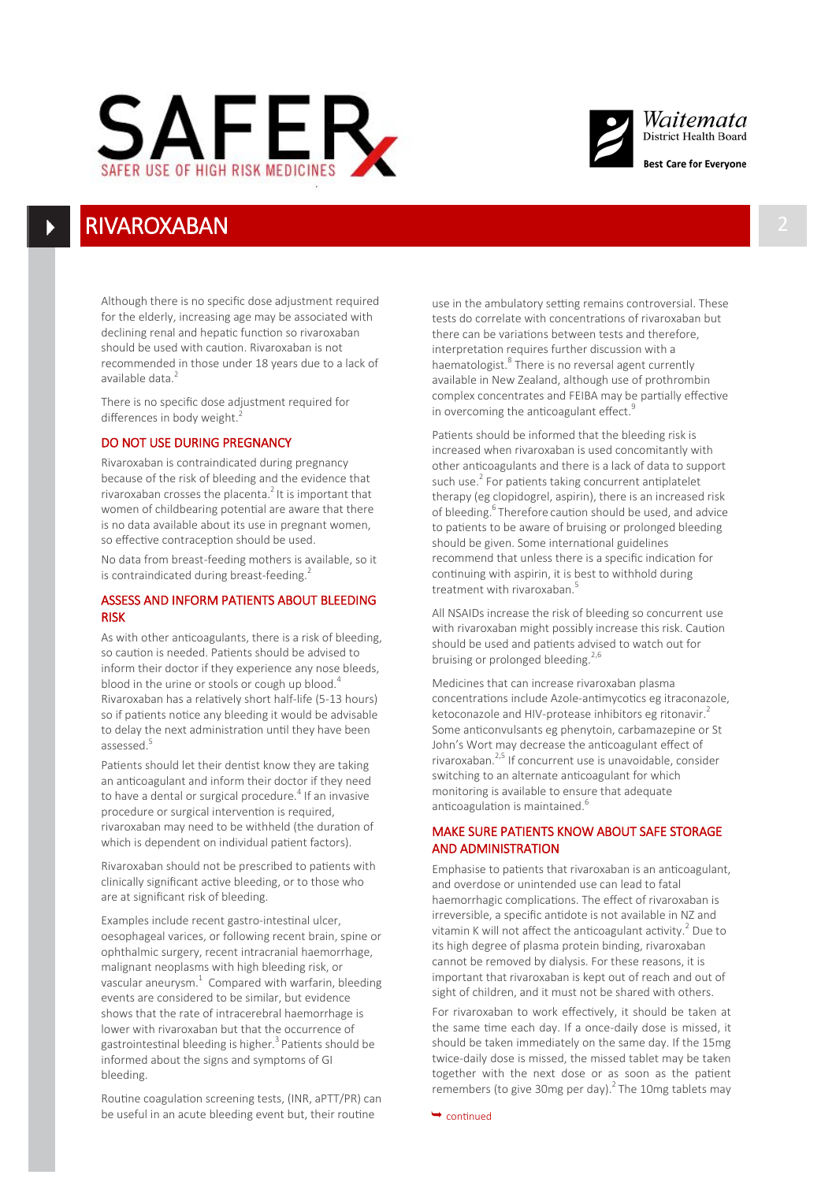



## **RIVAROXABAN**

Although there is no specific dose adjustment required for the elderly, increasing age may be associated with declining renal and hepatic function so rivaroxaban should be used with caution. Rivaroxaban is not recommended in those under 18 years due to a lack of available data.<sup>2</sup>

There is no specific dose adjustment required for differences in body weight.<sup>2</sup>

## DO NOT USE DURING PREGNANCY

Rivaroxaban is contraindicated during pregnancy because of the risk of bleeding and the evidence that rivaroxaban crosses the placenta.<sup>2</sup> It is important that women of childbearing potential are aware that there is no data available about its use in pregnant women, so effective contraception should be used.

No data from breast-feeding mothers is available, so it is contraindicated during breast-feeding.<sup>2</sup>

## ASSESS AND INFORM PATIENTS ABOUT BLEEDING RISK

As with other anticoagulants, there is a risk of bleeding, so caution is needed. Patients should be advised to inform their doctor if they experience any nose bleeds, blood in the urine or stools or cough up blood.<sup>4</sup> Rivaroxaban has a relatively short half-life (5-13 hours) so if patients notice any bleeding it would be advisable to delay the next administration until they have been assessed.<sup>5</sup>

Patients should let their dentist know they are taking an anticoagulant and inform their doctor if they need to have a dental or surgical procedure.<sup>4</sup> If an invasive procedure or surgical intervention is required, rivaroxaban may need to be withheld (the duration of which is dependent on individual patient factors).

Rivaroxaban should not be prescribed to patients with clinically significant active bleeding, or to those who are at significant risk of bleeding.

Examples include recent gastro-intestinal ulcer, oesophageal varices, or following recent brain, spine or ophthalmic surgery, recent intracranial haemorrhage, malignant neoplasms with high bleeding risk, or vascular aneurysm. $1$  Compared with warfarin, bleeding events are considered to be similar, but evidence shows that the rate of intracerebral haemorrhage is lower with rivaroxaban but that the occurrence of gastrointestinal bleeding is higher.<sup>3</sup> Patients should be informed about the signs and symptoms of GI bleeding.

Routine coagulation screening tests, (INR, aPTT/PR) can be useful in an acute bleeding event but, their routine  $\rightarrow$  continued

use in the ambulatory setting remains controversial. These tests do correlate with concentrations of rivaroxaban but there can be variations between tests and therefore, interpretation requires further discussion with a haematologist.<sup>8</sup> There is no reversal agent currently available in New Zealand, although use of prothrombin complex concentrates and FEIBA may be partially effective in overcoming the anticoagulant effect.<sup>9</sup>

Patients should be informed that the bleeding risk is increased when rivaroxaban is used concomitantly with other anticoagulants and there is a lack of data to support such use.<sup>2</sup> For patients taking concurrent antiplatelet therapy (eg clopidogrel, aspirin), there is an increased risk of bleeding.<sup>6</sup>Therefore caution should be used, and advice to patients to be aware of bruising or prolonged bleeding should be given. Some international guidelines recommend that unless there is a specific indication for continuing with aspirin, it is best to withhold during treatment with rivaroxaban.<sup>5</sup>

All NSAIDs increase the risk of bleeding so concurrent use with rivaroxaban might possibly increase this risk. Caution should be used and patients advised to watch out for bruising or prolonged bleeding. $2,6$ 

Medicines that can increase rivaroxaban plasma concentrations include Azole-antimycotics eg itraconazole, ketoconazole and HIV-protease inhibitors eg ritonavir.<sup>2</sup> Some anticonvulsants eg phenytoin, carbamazepine or St John's Wort may decrease the anticoagulant effect of rivaroxaban.2,5 If concurrent use is unavoidable, consider switching to an alternate anticoagulant for which monitoring is available to ensure that adequate anticoagulation is maintained.<sup>6</sup>

## MAKE SURE PATIENTS KNOW ABOUT SAFE STORAGE AND ADMINISTRATION

Emphasise to patients that rivaroxaban is an anticoagulant, and overdose or unintended use can lead to fatal haemorrhagic complications. The effect of rivaroxaban is irreversible, a specific antidote is not available in NZ and vitamin K will not affect the anticoagulant activity. $^2$  Due to its high degree of plasma protein binding, rivaroxaban cannot be removed by dialysis. For these reasons, it is important that rivaroxaban is kept out of reach and out of sight of children, and it must not be shared with others.

For rivaroxaban to work effectively, it should be taken at the same time each day. If a once-daily dose is missed, it should be taken immediately on the same day. If the 15mg twice-daily dose is missed, the missed tablet may be taken together with the next dose or as soon as the patient remembers (to give 30mg per day). $^2$  The 10mg tablets may